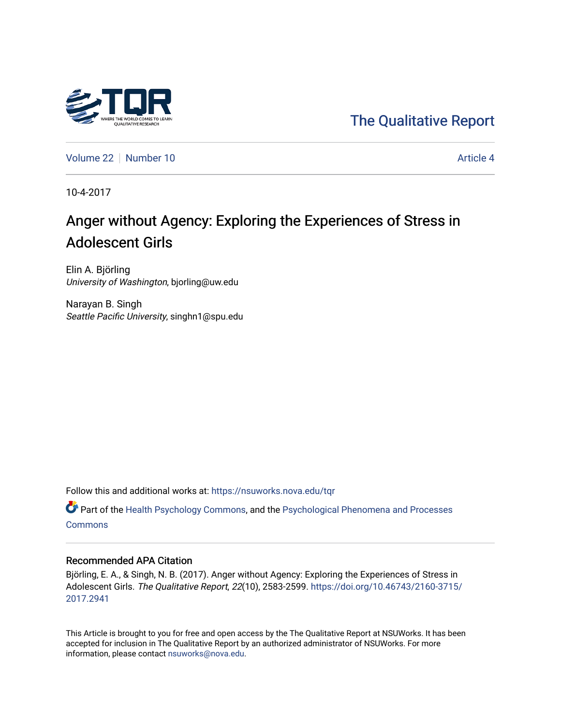

[The Qualitative Report](https://nsuworks.nova.edu/tqr) 

[Volume 22](https://nsuworks.nova.edu/tqr/vol22) [Number 10](https://nsuworks.nova.edu/tqr/vol22/iss10) Article 4

10-4-2017

# Anger without Agency: Exploring the Experiences of Stress in Adolescent Girls

Elin A. Björling University of Washington, bjorling@uw.edu

Narayan B. Singh Seattle Pacific University, singhn1@spu.edu

Follow this and additional works at: [https://nsuworks.nova.edu/tqr](https://nsuworks.nova.edu/tqr?utm_source=nsuworks.nova.edu%2Ftqr%2Fvol22%2Fiss10%2F4&utm_medium=PDF&utm_campaign=PDFCoverPages) 

Part of the [Health Psychology Commons](http://network.bepress.com/hgg/discipline/411?utm_source=nsuworks.nova.edu%2Ftqr%2Fvol22%2Fiss10%2F4&utm_medium=PDF&utm_campaign=PDFCoverPages), and the [Psychological Phenomena and Processes](http://network.bepress.com/hgg/discipline/914?utm_source=nsuworks.nova.edu%2Ftqr%2Fvol22%2Fiss10%2F4&utm_medium=PDF&utm_campaign=PDFCoverPages) **[Commons](http://network.bepress.com/hgg/discipline/914?utm_source=nsuworks.nova.edu%2Ftqr%2Fvol22%2Fiss10%2F4&utm_medium=PDF&utm_campaign=PDFCoverPages)** 

#### Recommended APA Citation

Björling, E. A., & Singh, N. B. (2017). Anger without Agency: Exploring the Experiences of Stress in Adolescent Girls. The Qualitative Report, 22(10), 2583-2599. [https://doi.org/10.46743/2160-3715/](https://doi.org/10.46743/2160-3715/2017.2941) [2017.2941](https://doi.org/10.46743/2160-3715/2017.2941) 

This Article is brought to you for free and open access by the The Qualitative Report at NSUWorks. It has been accepted for inclusion in The Qualitative Report by an authorized administrator of NSUWorks. For more information, please contact [nsuworks@nova.edu.](mailto:nsuworks@nova.edu)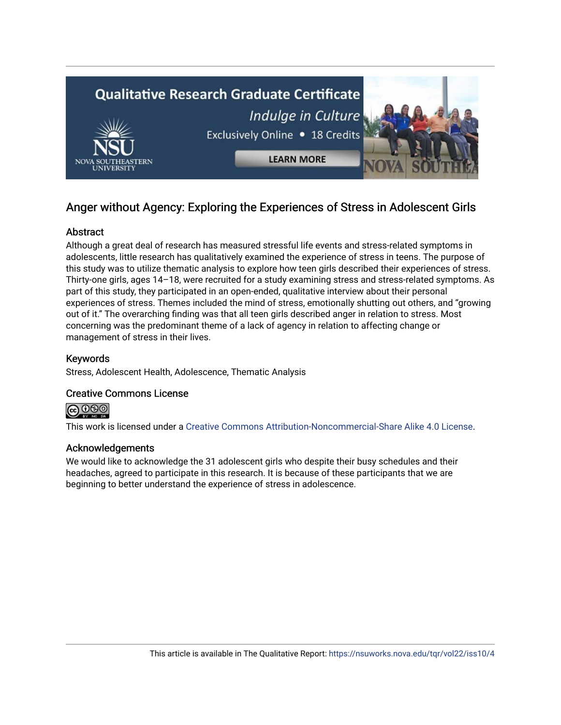

# Anger without Agency: Exploring the Experiences of Stress in Adolescent Girls

# **Abstract**

Although a great deal of research has measured stressful life events and stress-related symptoms in adolescents, little research has qualitatively examined the experience of stress in teens. The purpose of this study was to utilize thematic analysis to explore how teen girls described their experiences of stress. Thirty-one girls, ages 14–18, were recruited for a study examining stress and stress-related symptoms. As part of this study, they participated in an open-ended, qualitative interview about their personal experiences of stress. Themes included the mind of stress, emotionally shutting out others, and "growing out of it." The overarching finding was that all teen girls described anger in relation to stress. Most concerning was the predominant theme of a lack of agency in relation to affecting change or management of stress in their lives.

# Keywords

Stress, Adolescent Health, Adolescence, Thematic Analysis

# Creative Commons License



This work is licensed under a [Creative Commons Attribution-Noncommercial-Share Alike 4.0 License](https://creativecommons.org/licenses/by-nc-sa/4.0/).

# Acknowledgements

We would like to acknowledge the 31 adolescent girls who despite their busy schedules and their headaches, agreed to participate in this research. It is because of these participants that we are beginning to better understand the experience of stress in adolescence.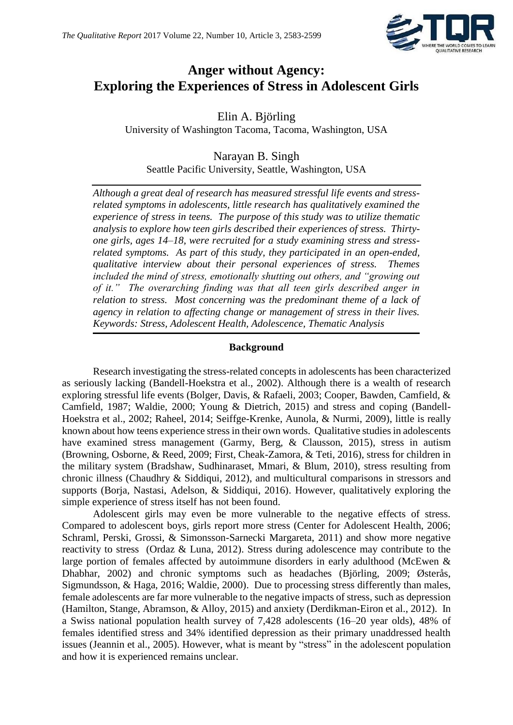

# **Anger without Agency: Exploring the Experiences of Stress in Adolescent Girls**

Elin A. Björling University of Washington Tacoma, Tacoma, Washington, USA

Narayan B. Singh Seattle Pacific University, Seattle, Washington, USA

*Although a great deal of research has measured stressful life events and stressrelated symptoms in adolescents, little research has qualitatively examined the experience of stress in teens. The purpose of this study was to utilize thematic analysis to explore how teen girls described their experiences of stress. Thirtyone girls, ages 14–18, were recruited for a study examining stress and stressrelated symptoms. As part of this study, they participated in an open-ended, qualitative interview about their personal experiences of stress. Themes included the mind of stress, emotionally shutting out others, and "growing out of it." The overarching finding was that all teen girls described anger in relation to stress. Most concerning was the predominant theme of a lack of agency in relation to affecting change or management of stress in their lives. Keywords: Stress, Adolescent Health, Adolescence, Thematic Analysis*

### **Background**

Research investigating the stress-related concepts in adolescents has been characterized as seriously lacking (Bandell-Hoekstra et al., 2002). Although there is a wealth of research exploring stressful life events (Bolger, Davis, & Rafaeli, 2003; Cooper, Bawden, Camfield, & Camfield, 1987; Waldie, 2000; Young & Dietrich, 2015) and stress and coping (Bandell-Hoekstra et al., 2002; Raheel, 2014; Seiffge-Krenke, Aunola, & Nurmi, 2009), little is really known about how teens experience stress in their own words. Qualitative studies in adolescents have examined stress management (Garmy, Berg, & Clausson, 2015), stress in autism (Browning, Osborne, & Reed, 2009; First, Cheak-Zamora, & Teti, 2016), stress for children in the military system (Bradshaw, Sudhinaraset, Mmari, & Blum, 2010), stress resulting from chronic illness (Chaudhry & Siddiqui, 2012), and multicultural comparisons in stressors and supports (Borja, Nastasi, Adelson, & Siddiqui, 2016). However, qualitatively exploring the simple experience of stress itself has not been found.

Adolescent girls may even be more vulnerable to the negative effects of stress. Compared to adolescent boys, girls report more stress (Center for Adolescent Health, 2006; Schraml, Perski, Grossi, & Simonsson-Sarnecki Margareta, 2011) and show more negative reactivity to stress (Ordaz & Luna, 2012). Stress during adolescence may contribute to the large portion of females affected by autoimmune disorders in early adulthood (McEwen & Dhabhar, 2002) and chronic symptoms such as headaches (Björling, 2009; Østerås, Sigmundsson, & Haga, 2016; Waldie, 2000). Due to processing stress differently than males, female adolescents are far more vulnerable to the negative impacts of stress, such as depression (Hamilton, Stange, Abramson, & Alloy, 2015) and anxiety (Derdikman-Eiron et al., 2012). In a Swiss national population health survey of 7,428 adolescents (16–20 year olds), 48% of females identified stress and 34% identified depression as their primary unaddressed health issues (Jeannin et al., 2005). However, what is meant by "stress" in the adolescent population and how it is experienced remains unclear.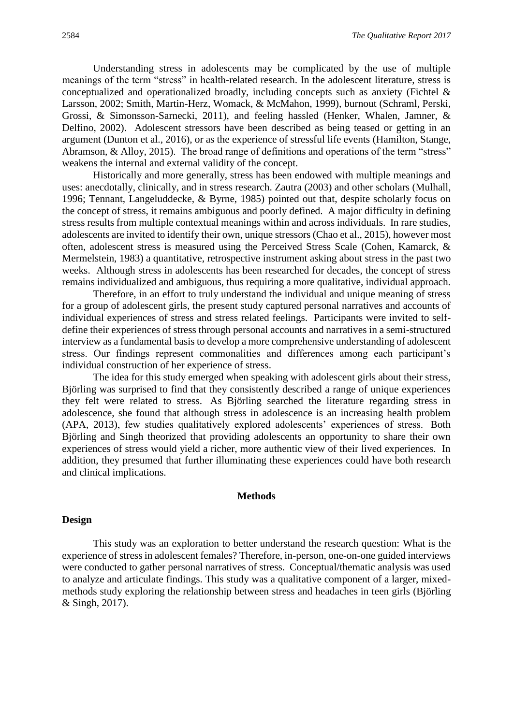Understanding stress in adolescents may be complicated by the use of multiple meanings of the term "stress" in health-related research. In the adolescent literature, stress is conceptualized and operationalized broadly, including concepts such as anxiety (Fichtel & Larsson, 2002; Smith, Martin-Herz, Womack, & McMahon, 1999), burnout (Schraml, Perski, Grossi, & Simonsson-Sarnecki, 2011), and feeling hassled (Henker, Whalen, Jamner, & Delfino, 2002). Adolescent stressors have been described as being teased or getting in an argument (Dunton et al., 2016), or as the experience of stressful life events (Hamilton, Stange, Abramson, & Alloy, 2015). The broad range of definitions and operations of the term "stress" weakens the internal and external validity of the concept.

Historically and more generally, stress has been endowed with multiple meanings and uses: anecdotally, clinically, and in stress research. Zautra (2003) and other scholars (Mulhall, 1996; Tennant, Langeluddecke, & Byrne, 1985) pointed out that, despite scholarly focus on the concept of stress, it remains ambiguous and poorly defined. A major difficulty in defining stress results from multiple contextual meanings within and across individuals. In rare studies, adolescents are invited to identify their own, unique stressors (Chao et al., 2015), however most often, adolescent stress is measured using the Perceived Stress Scale (Cohen, Kamarck, & Mermelstein, 1983) a quantitative, retrospective instrument asking about stress in the past two weeks. Although stress in adolescents has been researched for decades, the concept of stress remains individualized and ambiguous, thus requiring a more qualitative, individual approach.

Therefore, in an effort to truly understand the individual and unique meaning of stress for a group of adolescent girls, the present study captured personal narratives and accounts of individual experiences of stress and stress related feelings. Participants were invited to selfdefine their experiences of stress through personal accounts and narratives in a semi-structured interview as a fundamental basis to develop a more comprehensive understanding of adolescent stress. Our findings represent commonalities and differences among each participant's individual construction of her experience of stress.

The idea for this study emerged when speaking with adolescent girls about their stress, Björling was surprised to find that they consistently described a range of unique experiences they felt were related to stress. As Björling searched the literature regarding stress in adolescence, she found that although stress in adolescence is an increasing health problem (APA, 2013), few studies qualitatively explored adolescents' experiences of stress. Both Björling and Singh theorized that providing adolescents an opportunity to share their own experiences of stress would yield a richer, more authentic view of their lived experiences. In addition, they presumed that further illuminating these experiences could have both research and clinical implications.

#### **Methods**

#### **Design**

This study was an exploration to better understand the research question: What is the experience of stress in adolescent females? Therefore, in-person, one-on-one guided interviews were conducted to gather personal narratives of stress. Conceptual/thematic analysis was used to analyze and articulate findings. This study was a qualitative component of a larger, mixedmethods study exploring the relationship between stress and headaches in teen girls (Björling & Singh, 2017).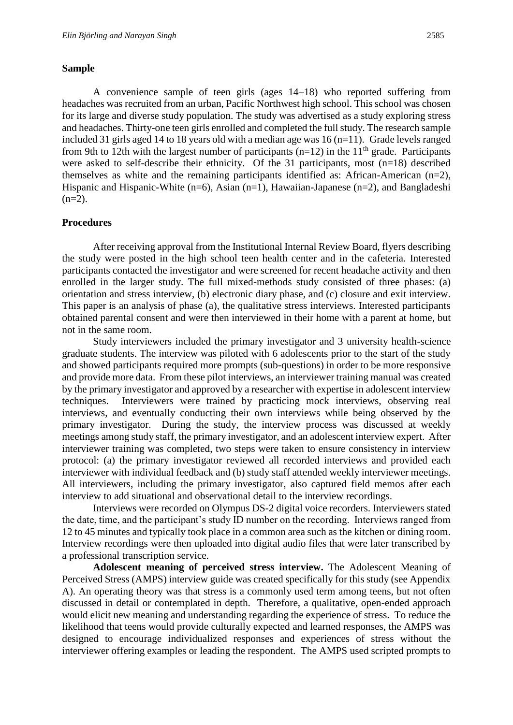#### **Sample**

A convenience sample of teen girls (ages 14–18) who reported suffering from headaches was recruited from an urban, Pacific Northwest high school. This school was chosen for its large and diverse study population. The study was advertised as a study exploring stress and headaches. Thirty-one teen girls enrolled and completed the full study. The research sample included 31 girls aged 14 to 18 years old with a median age was 16 (n=11). Grade levels ranged from 9th to 12th with the largest number of participants ( $n=12$ ) in the 11<sup>th</sup> grade. Participants were asked to self-describe their ethnicity. Of the 31 participants, most (n=18) described themselves as white and the remaining participants identified as: African-American (n=2), Hispanic and Hispanic-White (n=6), Asian (n=1), Hawaiian-Japanese (n=2), and Bangladeshi  $(n=2)$ .

#### **Procedures**

After receiving approval from the Institutional Internal Review Board, flyers describing the study were posted in the high school teen health center and in the cafeteria. Interested participants contacted the investigator and were screened for recent headache activity and then enrolled in the larger study. The full mixed-methods study consisted of three phases: (a) orientation and stress interview, (b) electronic diary phase, and (c) closure and exit interview. This paper is an analysis of phase (a), the qualitative stress interviews. Interested participants obtained parental consent and were then interviewed in their home with a parent at home, but not in the same room.

Study interviewers included the primary investigator and 3 university health-science graduate students. The interview was piloted with 6 adolescents prior to the start of the study and showed participants required more prompts (sub-questions) in order to be more responsive and provide more data. From these pilot interviews, an interviewer training manual was created by the primary investigator and approved by a researcher with expertise in adolescent interview techniques. Interviewers were trained by practicing mock interviews, observing real interviews, and eventually conducting their own interviews while being observed by the primary investigator. During the study, the interview process was discussed at weekly meetings among study staff, the primary investigator, and an adolescent interview expert. After interviewer training was completed, two steps were taken to ensure consistency in interview protocol: (a) the primary investigator reviewed all recorded interviews and provided each interviewer with individual feedback and (b) study staff attended weekly interviewer meetings. All interviewers, including the primary investigator, also captured field memos after each interview to add situational and observational detail to the interview recordings.

Interviews were recorded on Olympus DS-2 digital voice recorders. Interviewers stated the date, time, and the participant's study ID number on the recording. Interviews ranged from 12 to 45 minutes and typically took place in a common area such as the kitchen or dining room. Interview recordings were then uploaded into digital audio files that were later transcribed by a professional transcription service.

**Adolescent meaning of perceived stress interview.** The Adolescent Meaning of Perceived Stress (AMPS) interview guide was created specifically for this study (see Appendix A). An operating theory was that stress is a commonly used term among teens, but not often discussed in detail or contemplated in depth. Therefore, a qualitative, open-ended approach would elicit new meaning and understanding regarding the experience of stress. To reduce the likelihood that teens would provide culturally expected and learned responses, the AMPS was designed to encourage individualized responses and experiences of stress without the interviewer offering examples or leading the respondent. The AMPS used scripted prompts to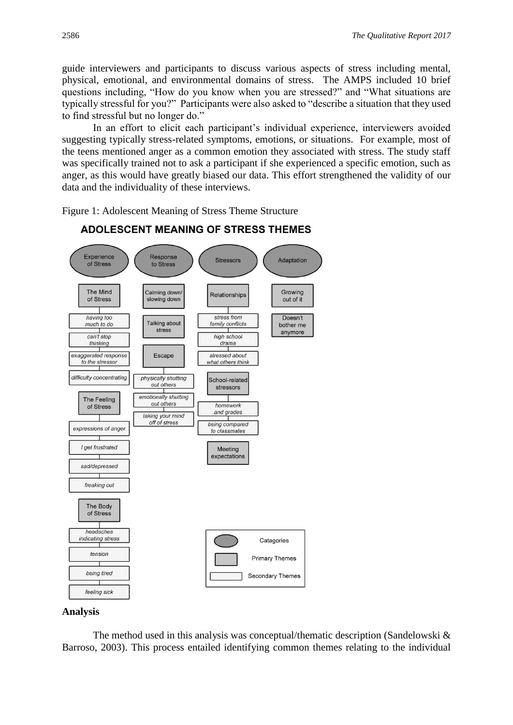guide interviewers and participants to discuss various aspects of stress including mental, physical, emotional, and environmental domains of stress. The AMPS included 10 brief questions including, "How do you know when you are stressed?" and "What situations are typically stressful for you?" Participants were also asked to "describe a situation that they used to find stressful but no longer do."

In an effort to elicit each participant's individual experience, interviewers avoided suggesting typically stress-related symptoms, emotions, or situations. For example, most of the teens mentioned anger as a common emotion they associated with stress. The study staff was specifically trained not to ask a participant if she experienced a specific emotion, such as anger, as this would have greatly biased our data. This effort strengthened the validity of our data and the individuality of these interviews.

Figure 1: Adolescent Meaning of Stress Theme Structure



# **ADOLESCENT MEANING OF STRESS THEMES**

#### **Analysis**

The method used in this analysis was conceptual/thematic description (Sandelowski & Barroso, 2003). This process entailed identifying common themes relating to the individual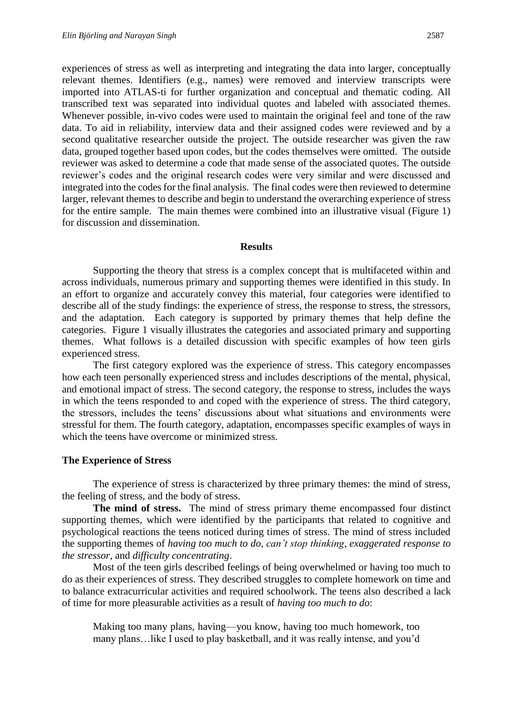for discussion and dissemination.

experiences of stress as well as interpreting and integrating the data into larger, conceptually relevant themes. Identifiers (e.g., names) were removed and interview transcripts were imported into ATLAS-ti for further organization and conceptual and thematic coding. All transcribed text was separated into individual quotes and labeled with associated themes. Whenever possible, in-vivo codes were used to maintain the original feel and tone of the raw data. To aid in reliability, interview data and their assigned codes were reviewed and by a second qualitative researcher outside the project. The outside researcher was given the raw data, grouped together based upon codes, but the codes themselves were omitted. The outside reviewer was asked to determine a code that made sense of the associated quotes. The outside reviewer's codes and the original research codes were very similar and were discussed and integrated into the codes for the final analysis. The final codes were then reviewed to determine larger, relevant themes to describe and begin to understand the overarching experience of stress for the entire sample. The main themes were combined into an illustrative visual (Figure 1)

### **Results**

Supporting the theory that stress is a complex concept that is multifaceted within and across individuals, numerous primary and supporting themes were identified in this study. In an effort to organize and accurately convey this material, four categories were identified to describe all of the study findings: the experience of stress, the response to stress, the stressors, and the adaptation. Each category is supported by primary themes that help define the categories. Figure 1 visually illustrates the categories and associated primary and supporting themes. What follows is a detailed discussion with specific examples of how teen girls experienced stress.

The first category explored was the experience of stress. This category encompasses how each teen personally experienced stress and includes descriptions of the mental, physical, and emotional impact of stress. The second category, the response to stress, includes the ways in which the teens responded to and coped with the experience of stress. The third category, the stressors, includes the teens' discussions about what situations and environments were stressful for them. The fourth category, adaptation, encompasses specific examples of ways in which the teens have overcome or minimized stress.

# **The Experience of Stress**

The experience of stress is characterized by three primary themes: the mind of stress, the feeling of stress, and the body of stress.

**The mind of stress.** The mind of stress primary theme encompassed four distinct supporting themes, which were identified by the participants that related to cognitive and psychological reactions the teens noticed during times of stress. The mind of stress included the supporting themes of *having too much to do*, *can't stop thinking*, *exaggerated response to the stressor*, and *difficulty concentrating*.

Most of the teen girls described feelings of being overwhelmed or having too much to do as their experiences of stress. They described struggles to complete homework on time and to balance extracurricular activities and required schoolwork. The teens also described a lack of time for more pleasurable activities as a result of *having too much to do*:

Making too many plans, having—you know, having too much homework, too many plans…like I used to play basketball, and it was really intense, and you'd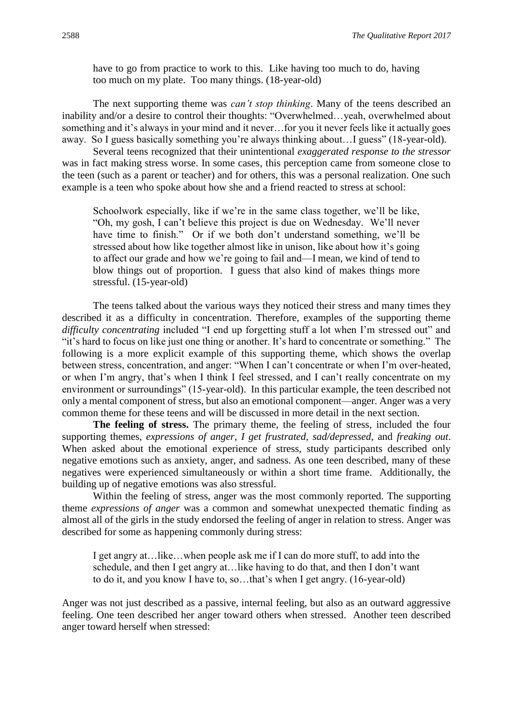have to go from practice to work to this. Like having too much to do, having too much on my plate. Too many things. (18-year-old)

The next supporting theme was *can't stop thinking*. Many of the teens described an inability and/or a desire to control their thoughts: "Overwhelmed…yeah, overwhelmed about something and it's always in your mind and it never…for you it never feels like it actually goes away. So I guess basically something you're always thinking about…I guess" (18-year-old).

Several teens recognized that their unintentional *exaggerated response to the stressor* was in fact making stress worse. In some cases, this perception came from someone close to the teen (such as a parent or teacher) and for others, this was a personal realization. One such example is a teen who spoke about how she and a friend reacted to stress at school:

Schoolwork especially, like if we're in the same class together, we'll be like, "Oh, my gosh, I can't believe this project is due on Wednesday. We'll never have time to finish." Or if we both don't understand something, we'll be stressed about how like together almost like in unison, like about how it's going to affect our grade and how we're going to fail and—I mean, we kind of tend to blow things out of proportion. I guess that also kind of makes things more stressful. (15-year-old)

The teens talked about the various ways they noticed their stress and many times they described it as a difficulty in concentration. Therefore, examples of the supporting theme *difficulty concentrating* included "I end up forgetting stuff a lot when I'm stressed out" and "it's hard to focus on like just one thing or another. It's hard to concentrate or something." The following is a more explicit example of this supporting theme, which shows the overlap between stress, concentration, and anger: "When I can't concentrate or when I'm over-heated, or when I'm angry, that's when I think I feel stressed, and I can't really concentrate on my environment or surroundings" (15-year-old). In this particular example, the teen described not only a mental component of stress, but also an emotional component—anger. Anger was a very common theme for these teens and will be discussed in more detail in the next section.

**The feeling of stress.** The primary theme, the feeling of stress, included the four supporting themes, *expressions of anger*, *I get frustrated, sad/depressed*, and *freaking out*. When asked about the emotional experience of stress, study participants described only negative emotions such as anxiety, anger, and sadness. As one teen described, many of these negatives were experienced simultaneously or within a short time frame. Additionally, the building up of negative emotions was also stressful.

Within the feeling of stress, anger was the most commonly reported. The supporting theme *expressions of anger* was a common and somewhat unexpected thematic finding as almost all of the girls in the study endorsed the feeling of anger in relation to stress. Anger was described for some as happening commonly during stress:

I get angry at…like…when people ask me if I can do more stuff, to add into the schedule, and then I get angry at…like having to do that, and then I don't want to do it, and you know I have to, so…that's when I get angry. (16-year-old)

Anger was not just described as a passive, internal feeling, but also as an outward aggressive feeling. One teen described her anger toward others when stressed. Another teen described anger toward herself when stressed: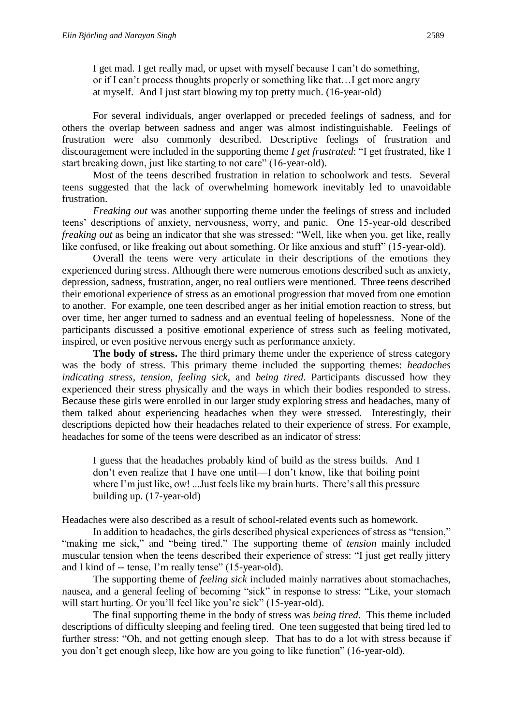I get mad. I get really mad, or upset with myself because I can't do something, or if I can't process thoughts properly or something like that…I get more angry at myself. And I just start blowing my top pretty much. (16-year-old)

For several individuals, anger overlapped or preceded feelings of sadness, and for others the overlap between sadness and anger was almost indistinguishable. Feelings of frustration were also commonly described. Descriptive feelings of frustration and discouragement were included in the supporting theme *I get frustrated*: "I get frustrated, like I start breaking down, just like starting to not care" (16-year-old).

Most of the teens described frustration in relation to schoolwork and tests. Several teens suggested that the lack of overwhelming homework inevitably led to unavoidable frustration.

*Freaking out* was another supporting theme under the feelings of stress and included teens' descriptions of anxiety, nervousness, worry, and panic. One 15-year-old described *freaking out* as being an indicator that she was stressed: "Well, like when you, get like, really like confused, or like freaking out about something. Or like anxious and stuff" (15-year-old).

Overall the teens were very articulate in their descriptions of the emotions they experienced during stress. Although there were numerous emotions described such as anxiety, depression, sadness, frustration, anger, no real outliers were mentioned. Three teens described their emotional experience of stress as an emotional progression that moved from one emotion to another. For example, one teen described anger as her initial emotion reaction to stress, but over time, her anger turned to sadness and an eventual feeling of hopelessness. None of the participants discussed a positive emotional experience of stress such as feeling motivated, inspired, or even positive nervous energy such as performance anxiety.

**The body of stress.** The third primary theme under the experience of stress category was the body of stress. This primary theme included the supporting themes: *headaches indicating stress*, *tension*, *feeling sick,* and *being tired*. Participants discussed how they experienced their stress physically and the ways in which their bodies responded to stress. Because these girls were enrolled in our larger study exploring stress and headaches, many of them talked about experiencing headaches when they were stressed. Interestingly, their descriptions depicted how their headaches related to their experience of stress. For example, headaches for some of the teens were described as an indicator of stress:

I guess that the headaches probably kind of build as the stress builds. And I don't even realize that I have one until—I don't know, like that boiling point where I'm just like, ow! ...Just feels like my brain hurts. There's all this pressure building up. (17-year-old)

Headaches were also described as a result of school-related events such as homework.

In addition to headaches, the girls described physical experiences of stress as "tension," "making me sick," and "being tired." The supporting theme of *tension* mainly included muscular tension when the teens described their experience of stress: "I just get really jittery and I kind of -- tense, I'm really tense" (15-year-old).

The supporting theme of *feeling sick* included mainly narratives about stomachaches, nausea, and a general feeling of becoming "sick" in response to stress: "Like, your stomach will start hurting. Or you'll feel like you're sick" (15-year-old).

The final supporting theme in the body of stress was *being tired*. This theme included descriptions of difficulty sleeping and feeling tired. One teen suggested that being tired led to further stress: "Oh, and not getting enough sleep. That has to do a lot with stress because if you don't get enough sleep, like how are you going to like function" (16-year-old).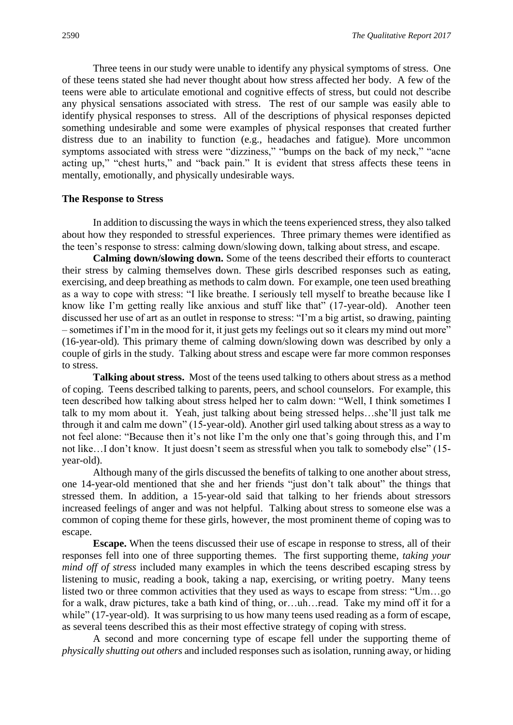Three teens in our study were unable to identify any physical symptoms of stress. One of these teens stated she had never thought about how stress affected her body. A few of the teens were able to articulate emotional and cognitive effects of stress, but could not describe any physical sensations associated with stress. The rest of our sample was easily able to identify physical responses to stress. All of the descriptions of physical responses depicted something undesirable and some were examples of physical responses that created further distress due to an inability to function (e.g., headaches and fatigue). More uncommon symptoms associated with stress were "dizziness," "bumps on the back of my neck," "acne acting up," "chest hurts," and "back pain." It is evident that stress affects these teens in mentally, emotionally, and physically undesirable ways.

#### **The Response to Stress**

In addition to discussing the ways in which the teens experienced stress, they also talked about how they responded to stressful experiences. Three primary themes were identified as the teen's response to stress: calming down/slowing down, talking about stress, and escape.

**Calming down/slowing down.** Some of the teens described their efforts to counteract their stress by calming themselves down. These girls described responses such as eating, exercising, and deep breathing as methods to calm down. For example, one teen used breathing as a way to cope with stress: "I like breathe. I seriously tell myself to breathe because like I know like I'm getting really like anxious and stuff like that" (17-year-old). Another teen discussed her use of art as an outlet in response to stress: "I'm a big artist, so drawing, painting – sometimes if I'm in the mood for it, it just gets my feelings out so it clears my mind out more" (16-year-old)*.* This primary theme of calming down/slowing down was described by only a couple of girls in the study. Talking about stress and escape were far more common responses to stress.

**Talking about stress.** Most of the teens used talking to others about stress as a method of coping. Teens described talking to parents, peers, and school counselors. For example, this teen described how talking about stress helped her to calm down: "Well, I think sometimes I talk to my mom about it. Yeah, just talking about being stressed helps…she'll just talk me through it and calm me down" (15-year-old)*.* Another girl used talking about stress as a way to not feel alone: "Because then it's not like I'm the only one that's going through this, and I'm not like…I don't know. It just doesn't seem as stressful when you talk to somebody else" (15 year-old).

Although many of the girls discussed the benefits of talking to one another about stress, one 14-year-old mentioned that she and her friends "just don't talk about" the things that stressed them. In addition, a 15-year-old said that talking to her friends about stressors increased feelings of anger and was not helpful. Talking about stress to someone else was a common of coping theme for these girls, however, the most prominent theme of coping was to escape.

**Escape.** When the teens discussed their use of escape in response to stress, all of their responses fell into one of three supporting themes. The first supporting theme, *taking your mind off of stress* included many examples in which the teens described escaping stress by listening to music, reading a book, taking a nap, exercising, or writing poetry. Many teens listed two or three common activities that they used as ways to escape from stress: "Um…go for a walk, draw pictures, take a bath kind of thing, or…uh…read. Take my mind off it for a while" (17-year-old). It was surprising to us how many teens used reading as a form of escape, as several teens described this as their most effective strategy of coping with stress.

A second and more concerning type of escape fell under the supporting theme of *physically shutting out others* and included responses such as isolation, running away, or hiding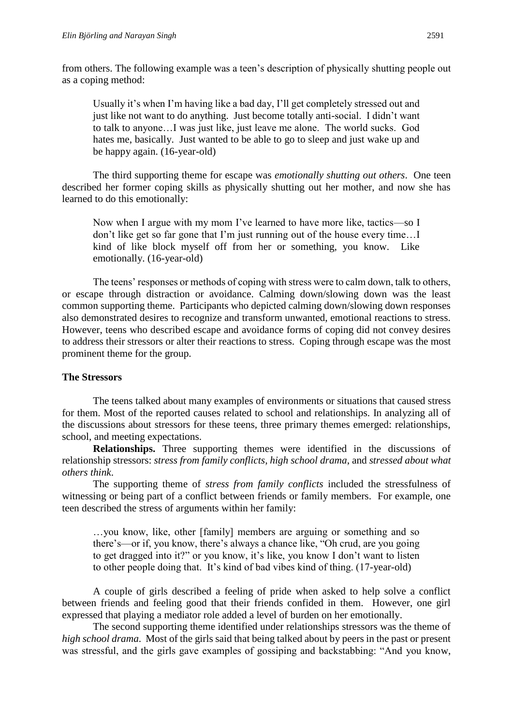from others. The following example was a teen's description of physically shutting people out as a coping method:

Usually it's when I'm having like a bad day, I'll get completely stressed out and just like not want to do anything. Just become totally anti-social. I didn't want to talk to anyone…I was just like, just leave me alone. The world sucks. God hates me, basically. Just wanted to be able to go to sleep and just wake up and be happy again. (16-year-old)

The third supporting theme for escape was *emotionally shutting out others*. One teen described her former coping skills as physically shutting out her mother, and now she has learned to do this emotionally:

Now when I argue with my mom I've learned to have more like, tactics—so I don't like get so far gone that I'm just running out of the house every time…I kind of like block myself off from her or something, you know. Like emotionally. (16-year-old)

The teens' responses or methods of coping with stress were to calm down, talk to others, or escape through distraction or avoidance. Calming down/slowing down was the least common supporting theme. Participants who depicted calming down/slowing down responses also demonstrated desires to recognize and transform unwanted, emotional reactions to stress. However, teens who described escape and avoidance forms of coping did not convey desires to address their stressors or alter their reactions to stress. Coping through escape was the most prominent theme for the group.

#### **The Stressors**

The teens talked about many examples of environments or situations that caused stress for them. Most of the reported causes related to school and relationships. In analyzing all of the discussions about stressors for these teens, three primary themes emerged: relationships, school, and meeting expectations.

**Relationships.** Three supporting themes were identified in the discussions of relationship stressors: *stress from family conflicts*, *high school drama*, and *stressed about what others think*.

The supporting theme of *stress from family conflicts* included the stressfulness of witnessing or being part of a conflict between friends or family members. For example, one teen described the stress of arguments within her family:

…you know, like, other [family] members are arguing or something and so there's—or if, you know, there's always a chance like, "Oh crud, are you going to get dragged into it?" or you know, it's like, you know I don't want to listen to other people doing that. It's kind of bad vibes kind of thing. (17-year-old)

A couple of girls described a feeling of pride when asked to help solve a conflict between friends and feeling good that their friends confided in them. However, one girl expressed that playing a mediator role added a level of burden on her emotionally.

The second supporting theme identified under relationships stressors was the theme of *high school drama*. Most of the girls said that being talked about by peers in the past or present was stressful, and the girls gave examples of gossiping and backstabbing: "And you know,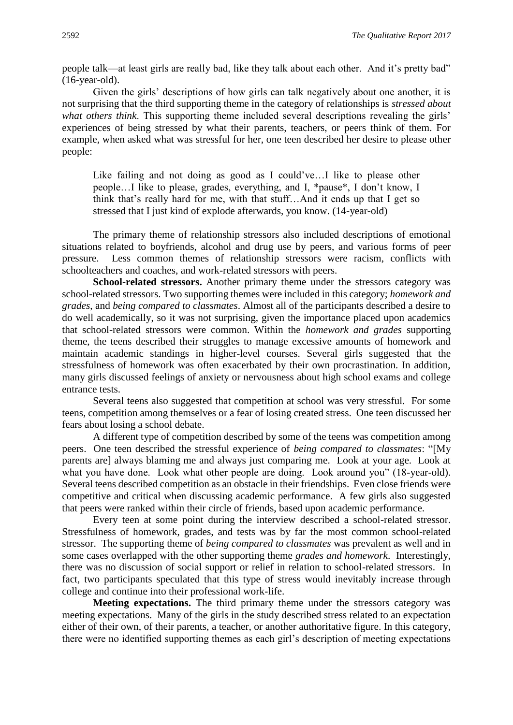people talk—at least girls are really bad, like they talk about each other. And it's pretty bad" (16-year-old).

Given the girls' descriptions of how girls can talk negatively about one another, it is not surprising that the third supporting theme in the category of relationships is *stressed about what others think*. This supporting theme included several descriptions revealing the girls' experiences of being stressed by what their parents, teachers, or peers think of them. For example, when asked what was stressful for her, one teen described her desire to please other people:

Like failing and not doing as good as I could've…I like to please other people…I like to please, grades, everything, and I, \*pause\*, I don't know, I think that's really hard for me, with that stuff…And it ends up that I get so stressed that I just kind of explode afterwards, you know. (14-year-old)

The primary theme of relationship stressors also included descriptions of emotional situations related to boyfriends, alcohol and drug use by peers, and various forms of peer pressure. Less common themes of relationship stressors were racism, conflicts with schoolteachers and coaches, and work-related stressors with peers.

**School-related stressors.** Another primary theme under the stressors category was school-related stressors. Two supporting themes were included in this category; *homework and grades*, and *being compared to classmates*. Almost all of the participants described a desire to do well academically, so it was not surprising, given the importance placed upon academics that school-related stressors were common. Within the *homework and grades* supporting theme, the teens described their struggles to manage excessive amounts of homework and maintain academic standings in higher-level courses. Several girls suggested that the stressfulness of homework was often exacerbated by their own procrastination. In addition, many girls discussed feelings of anxiety or nervousness about high school exams and college entrance tests.

Several teens also suggested that competition at school was very stressful. For some teens, competition among themselves or a fear of losing created stress. One teen discussed her fears about losing a school debate.

A different type of competition described by some of the teens was competition among peers. One teen described the stressful experience of *being compared to classmates*: "[My parents are] always blaming me and always just comparing me. Look at your age. Look at what you have done. Look what other people are doing. Look around you" (18-year-old). Several teens described competition as an obstacle in their friendships. Even close friends were competitive and critical when discussing academic performance. A few girls also suggested that peers were ranked within their circle of friends, based upon academic performance.

Every teen at some point during the interview described a school-related stressor. Stressfulness of homework, grades, and tests was by far the most common school-related stressor. The supporting theme of *being compared to classmates* was prevalent as well and in some cases overlapped with the other supporting theme *grades and homework*. Interestingly, there was no discussion of social support or relief in relation to school-related stressors. In fact, two participants speculated that this type of stress would inevitably increase through college and continue into their professional work-life.

**Meeting expectations.** The third primary theme under the stressors category was meeting expectations. Many of the girls in the study described stress related to an expectation either of their own, of their parents, a teacher, or another authoritative figure. In this category, there were no identified supporting themes as each girl's description of meeting expectations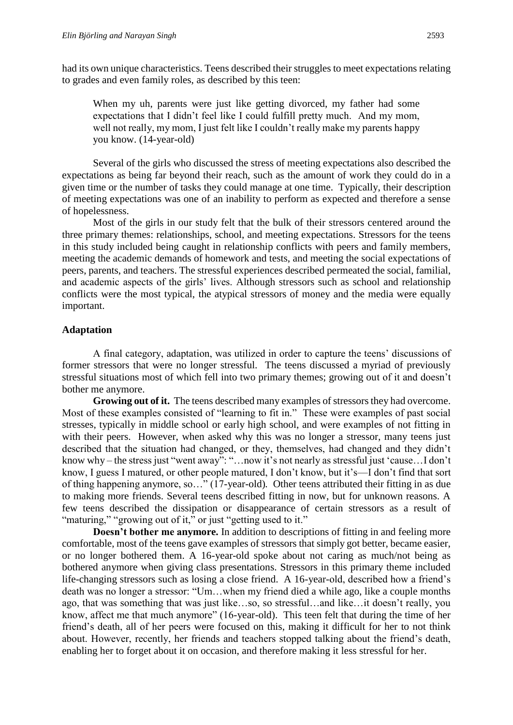had its own unique characteristics. Teens described their struggles to meet expectations relating to grades and even family roles, as described by this teen:

When my uh, parents were just like getting divorced, my father had some expectations that I didn't feel like I could fulfill pretty much. And my mom, well not really, my mom, I just felt like I couldn't really make my parents happy you know. (14-year-old)

Several of the girls who discussed the stress of meeting expectations also described the expectations as being far beyond their reach, such as the amount of work they could do in a given time or the number of tasks they could manage at one time. Typically, their description of meeting expectations was one of an inability to perform as expected and therefore a sense of hopelessness.

Most of the girls in our study felt that the bulk of their stressors centered around the three primary themes: relationships, school, and meeting expectations. Stressors for the teens in this study included being caught in relationship conflicts with peers and family members, meeting the academic demands of homework and tests, and meeting the social expectations of peers, parents, and teachers. The stressful experiences described permeated the social, familial, and academic aspects of the girls' lives. Although stressors such as school and relationship conflicts were the most typical, the atypical stressors of money and the media were equally important.

#### **Adaptation**

A final category, adaptation, was utilized in order to capture the teens' discussions of former stressors that were no longer stressful. The teens discussed a myriad of previously stressful situations most of which fell into two primary themes; growing out of it and doesn't bother me anymore.

**Growing out of it.** The teens described many examples of stressors they had overcome. Most of these examples consisted of "learning to fit in." These were examples of past social stresses, typically in middle school or early high school, and were examples of not fitting in with their peers. However, when asked why this was no longer a stressor, many teens just described that the situation had changed, or they, themselves, had changed and they didn't know why – the stress just "went away": "…now it's not nearly as stressful just 'cause…I don't know, I guess I matured, or other people matured, I don't know, but it's—I don't find that sort of thing happening anymore, so…" (17-year-old)*.* Other teens attributed their fitting in as due to making more friends. Several teens described fitting in now, but for unknown reasons. A few teens described the dissipation or disappearance of certain stressors as a result of "maturing," "growing out of it," or just "getting used to it."

**Doesn't bother me anymore.** In addition to descriptions of fitting in and feeling more comfortable, most of the teens gave examples of stressors that simply got better, became easier, or no longer bothered them. A 16-year-old spoke about not caring as much/not being as bothered anymore when giving class presentations. Stressors in this primary theme included life-changing stressors such as losing a close friend. A 16-year-old, described how a friend's death was no longer a stressor: "Um…when my friend died a while ago, like a couple months ago, that was something that was just like…so, so stressful…and like…it doesn't really, you know, affect me that much anymore" (16-year-old). This teen felt that during the time of her friend's death, all of her peers were focused on this, making it difficult for her to not think about. However, recently, her friends and teachers stopped talking about the friend's death, enabling her to forget about it on occasion, and therefore making it less stressful for her.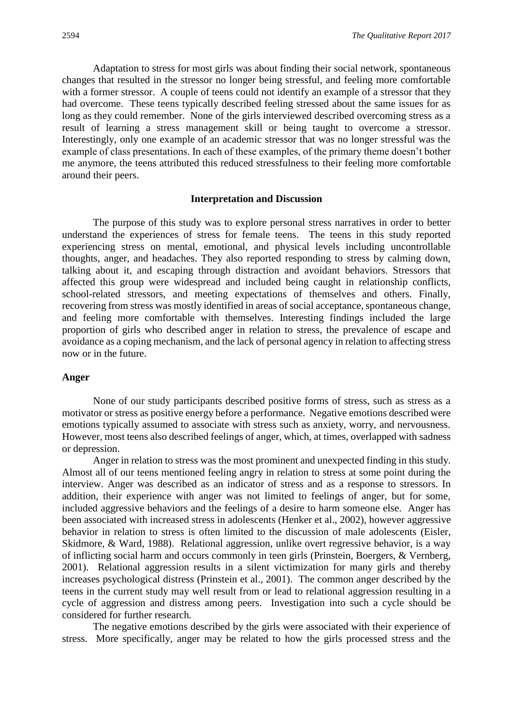Adaptation to stress for most girls was about finding their social network, spontaneous changes that resulted in the stressor no longer being stressful, and feeling more comfortable with a former stressor. A couple of teens could not identify an example of a stressor that they had overcome. These teens typically described feeling stressed about the same issues for as long as they could remember. None of the girls interviewed described overcoming stress as a result of learning a stress management skill or being taught to overcome a stressor. Interestingly, only one example of an academic stressor that was no longer stressful was the example of class presentations. In each of these examples, of the primary theme doesn't bother me anymore, the teens attributed this reduced stressfulness to their feeling more comfortable around their peers.

#### **Interpretation and Discussion**

The purpose of this study was to explore personal stress narratives in order to better understand the experiences of stress for female teens. The teens in this study reported experiencing stress on mental, emotional, and physical levels including uncontrollable thoughts, anger, and headaches. They also reported responding to stress by calming down, talking about it, and escaping through distraction and avoidant behaviors. Stressors that affected this group were widespread and included being caught in relationship conflicts, school-related stressors, and meeting expectations of themselves and others. Finally, recovering from stress was mostly identified in areas of social acceptance, spontaneous change, and feeling more comfortable with themselves. Interesting findings included the large proportion of girls who described anger in relation to stress, the prevalence of escape and avoidance as a coping mechanism, and the lack of personal agency in relation to affecting stress now or in the future.

#### **Anger**

None of our study participants described positive forms of stress, such as stress as a motivator or stress as positive energy before a performance. Negative emotions described were emotions typically assumed to associate with stress such as anxiety, worry, and nervousness. However, most teens also described feelings of anger, which, at times, overlapped with sadness or depression.

Anger in relation to stress was the most prominent and unexpected finding in this study. Almost all of our teens mentioned feeling angry in relation to stress at some point during the interview. Anger was described as an indicator of stress and as a response to stressors. In addition, their experience with anger was not limited to feelings of anger, but for some, included aggressive behaviors and the feelings of a desire to harm someone else. Anger has been associated with increased stress in adolescents (Henker et al., 2002), however aggressive behavior in relation to stress is often limited to the discussion of male adolescents (Eisler, Skidmore, & Ward, 1988). Relational aggression, unlike overt regressive behavior, is a way of inflicting social harm and occurs commonly in teen girls (Prinstein, Boergers, & Vernberg, 2001). Relational aggression results in a silent victimization for many girls and thereby increases psychological distress (Prinstein et al., 2001). The common anger described by the teens in the current study may well result from or lead to relational aggression resulting in a cycle of aggression and distress among peers. Investigation into such a cycle should be considered for further research.

The negative emotions described by the girls were associated with their experience of stress. More specifically, anger may be related to how the girls processed stress and the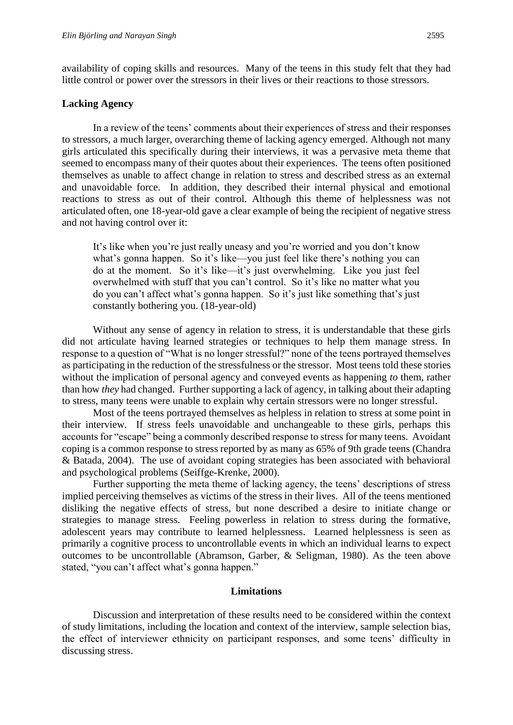availability of coping skills and resources. Many of the teens in this study felt that they had little control or power over the stressors in their lives or their reactions to those stressors.

#### **Lacking Agency**

In a review of the teens' comments about their experiences of stress and their responses to stressors, a much larger, overarching theme of lacking agency emerged. Although not many girls articulated this specifically during their interviews, it was a pervasive meta theme that seemed to encompass many of their quotes about their experiences. The teens often positioned themselves as unable to affect change in relation to stress and described stress as an external and unavoidable force. In addition, they described their internal physical and emotional reactions to stress as out of their control. Although this theme of helplessness was not articulated often, one 18-year-old gave a clear example of being the recipient of negative stress and not having control over it:

It's like when you're just really uneasy and you're worried and you don't know what's gonna happen. So it's like—you just feel like there's nothing you can do at the moment. So it's like—it's just overwhelming. Like you just feel overwhelmed with stuff that you can't control. So it's like no matter what you do you can't affect what's gonna happen. So it's just like something that's just constantly bothering you. (18-year-old)

Without any sense of agency in relation to stress, it is understandable that these girls did not articulate having learned strategies or techniques to help them manage stress. In response to a question of "What is no longer stressful?" none of the teens portrayed themselves as participating in the reduction of the stressfulness or the stressor. Most teens told these stories without the implication of personal agency and conveyed events as happening *to* them, rather than how *they* had changed. Further supporting a lack of agency, in talking about their adapting to stress, many teens were unable to explain why certain stressors were no longer stressful.

Most of the teens portrayed themselves as helpless in relation to stress at some point in their interview. If stress feels unavoidable and unchangeable to these girls, perhaps this accounts for "escape" being a commonly described response to stress for many teens. Avoidant coping is a common response to stress reported by as many as 65% of 9th grade teens (Chandra & Batada, 2004). The use of avoidant coping strategies has been associated with behavioral and psychological problems (Seiffge-Krenke, 2000).

Further supporting the meta theme of lacking agency, the teens' descriptions of stress implied perceiving themselves as victims of the stress in their lives. All of the teens mentioned disliking the negative effects of stress, but none described a desire to initiate change or strategies to manage stress. Feeling powerless in relation to stress during the formative, adolescent years may contribute to learned helplessness. Learned helplessness is seen as primarily a cognitive process to uncontrollable events in which an individual learns to expect outcomes to be uncontrollable (Abramson, Garber, & Seligman, 1980). As the teen above stated, "you can't affect what's gonna happen."

#### **Limitations**

Discussion and interpretation of these results need to be considered within the context of study limitations, including the location and context of the interview, sample selection bias, the effect of interviewer ethnicity on participant responses, and some teens' difficulty in discussing stress.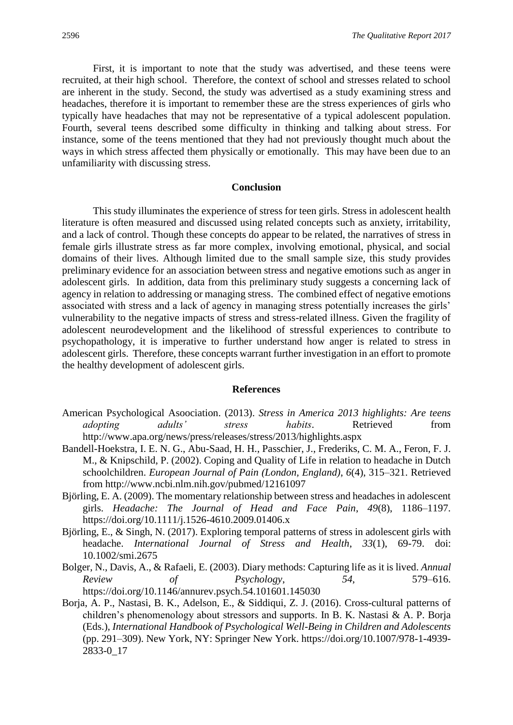First, it is important to note that the study was advertised, and these teens were recruited, at their high school. Therefore, the context of school and stresses related to school are inherent in the study. Second, the study was advertised as a study examining stress and headaches, therefore it is important to remember these are the stress experiences of girls who typically have headaches that may not be representative of a typical adolescent population. Fourth, several teens described some difficulty in thinking and talking about stress. For instance, some of the teens mentioned that they had not previously thought much about the ways in which stress affected them physically or emotionally. This may have been due to an unfamiliarity with discussing stress.

#### **Conclusion**

This study illuminates the experience of stress for teen girls. Stress in adolescent health literature is often measured and discussed using related concepts such as anxiety, irritability, and a lack of control. Though these concepts do appear to be related, the narratives of stress in female girls illustrate stress as far more complex, involving emotional, physical, and social domains of their lives. Although limited due to the small sample size, this study provides preliminary evidence for an association between stress and negative emotions such as anger in adolescent girls. In addition, data from this preliminary study suggests a concerning lack of agency in relation to addressing or managing stress. The combined effect of negative emotions associated with stress and a lack of agency in managing stress potentially increases the girls' vulnerability to the negative impacts of stress and stress-related illness. Given the fragility of adolescent neurodevelopment and the likelihood of stressful experiences to contribute to psychopathology, it is imperative to further understand how anger is related to stress in adolescent girls. Therefore, these concepts warrant further investigation in an effort to promote the healthy development of adolescent girls.

#### **References**

- American Psychological Asoociation. (2013). *Stress in America 2013 highlights: Are teens adopting adults' stress habits*. Retrieved from http://www.apa.org/news/press/releases/stress/2013/highlights.aspx
- Bandell-Hoekstra, I. E. N. G., Abu-Saad, H. H., Passchier, J., Frederiks, C. M. A., Feron, F. J. M., & Knipschild, P. (2002). Coping and Quality of Life in relation to headache in Dutch schoolchildren. *European Journal of Pain (London, England)*, *6*(4), 315–321. Retrieved from http://www.ncbi.nlm.nih.gov/pubmed/12161097
- Björling, E. A. (2009). The momentary relationship between stress and headaches in adolescent girls. *Headache: The Journal of Head and Face Pain*, *49*(8), 1186–1197. https://doi.org/10.1111/j.1526-4610.2009.01406.x
- Björling, E., & Singh, N. (2017). Exploring temporal patterns of stress in adolescent girls with headache. *International Journal of Stress and Health*, *33*(1), 69-79. doi: 10.1002/smi.2675
- Bolger, N., Davis, A., & Rafaeli, E. (2003). Diary methods: Capturing life as it is lived. *Annual Review of Psychology*, *54*, 579–616. https://doi.org/10.1146/annurev.psych.54.101601.145030
- Borja, A. P., Nastasi, B. K., Adelson, E., & Siddiqui, Z. J. (2016). Cross-cultural patterns of children's phenomenology about stressors and supports. In B. K. Nastasi & A. P. Borja (Eds.), *International Handbook of Psychological Well-Being in Children and Adolescents* (pp. 291–309). New York, NY: Springer New York. https://doi.org/10.1007/978-1-4939- 2833-0\_17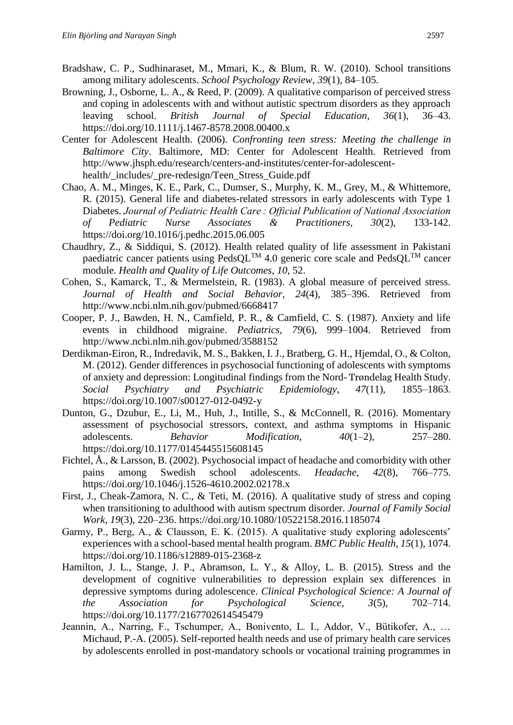- Bradshaw, C. P., Sudhinaraset, M., Mmari, K., & Blum, R. W. (2010). School transitions among military adolescents. *School Psychology Review*, *39*(1), 84–105.
- Browning, J., Osborne, L. A., & Reed, P. (2009). A qualitative comparison of perceived stress and coping in adolescents with and without autistic spectrum disorders as they approach leaving school. *British Journal of Special Education*, *36*(1), 36–43. https://doi.org/10.1111/j.1467-8578.2008.00400.x
- Center for Adolescent Health. (2006). *Confronting teen stress: Meeting the challenge in Baltimore City*. Baltimore, MD: Center for Adolescent Health. Retrieved from http://www.jhsph.edu/research/centers-and-institutes/center-for-adolescenthealth/\_includes/\_pre-redesign/Teen\_Stress\_Guide.pdf
- Chao, A. M., Minges, K. E., Park, C., Dumser, S., Murphy, K. M., Grey, M., & Whittemore, R. (2015). General life and diabetes-related stressors in early adolescents with Type 1 Diabetes. *Journal of Pediatric Health Care : Official Publication of National Association of Pediatric Nurse Associates & Practitioners, 30*(2), 133-142. https://doi.org/10.1016/j.pedhc.2015.06.005
- Chaudhry, Z., & Siddiqui, S. (2012). Health related quality of life assessment in Pakistani paediatric cancer patients using  $PedsQL^{TM}$  4.0 generic core scale and  $PedsQL^{TM}$  cancer module. *Health and Quality of Life Outcomes*, *10*, 52.
- Cohen, S., Kamarck, T., & Mermelstein, R. (1983). A global measure of perceived stress. *Journal of Health and Social Behavior*, *24*(4), 385–396. Retrieved from http://www.ncbi.nlm.nih.gov/pubmed/6668417
- Cooper, P. J., Bawden, H. N., Camfield, P. R., & Camfield, C. S. (1987). Anxiety and life events in childhood migraine. *Pediatrics*, *79*(6), 999–1004. Retrieved from http://www.ncbi.nlm.nih.gov/pubmed/3588152
- Derdikman-Eiron, R., Indredavik, M. S., Bakken, I. J., Bratberg, G. H., Hjemdal, O., & Colton, M. (2012). Gender differences in psychosocial functioning of adolescents with symptoms of anxiety and depression: Longitudinal findings from the Nord- Trøndelag Health Study. *Social Psychiatry and Psychiatric Epidemiology*, *47*(11), 1855–1863. https://doi.org/10.1007/s00127-012-0492-y
- Dunton, G., Dzubur, E., Li, M., Huh, J., Intille, S., & McConnell, R. (2016). Momentary assessment of psychosocial stressors, context, and asthma symptoms in Hispanic adolescents. *Behavior Modification*, *40*(1–2), 257–280. https://doi.org/10.1177/0145445515608145
- Fichtel, Å., & Larsson, B. (2002). Psychosocial impact of headache and comorbidity with other pains among Swedish school adolescents. *Headache*, *42*(8), 766–775. https://doi.org/10.1046/j.1526-4610.2002.02178.x
- First, J., Cheak-Zamora, N. C., & Teti, M. (2016). A qualitative study of stress and coping when transitioning to adulthood with autism spectrum disorder. *Journal of Family Social Work*, *19*(3), 220–236. https://doi.org/10.1080/10522158.2016.1185074
- Garmy, P., Berg, A., & Clausson, E. K. (2015). A qualitative study exploring adolescents' experiences with a school-based mental health program. *BMC Public Health*, *15*(1), 1074. https://doi.org/10.1186/s12889-015-2368-z
- Hamilton, J. L., Stange, J. P., Abramson, L. Y., & Alloy, L. B. (2015). Stress and the development of cognitive vulnerabilities to depression explain sex differences in depressive symptoms during adolescence. *Clinical Psychological Science: A Journal of the Association for Psychological Science*, *3*(5), 702–714. https://doi.org/10.1177/2167702614545479
- Jeannin, A., Narring, F., Tschumper, A., Bonivento, L. I., Addor, V., Bütikofer, A., … Michaud, P.-A. (2005). Self-reported health needs and use of primary health care services by adolescents enrolled in post-mandatory schools or vocational training programmes in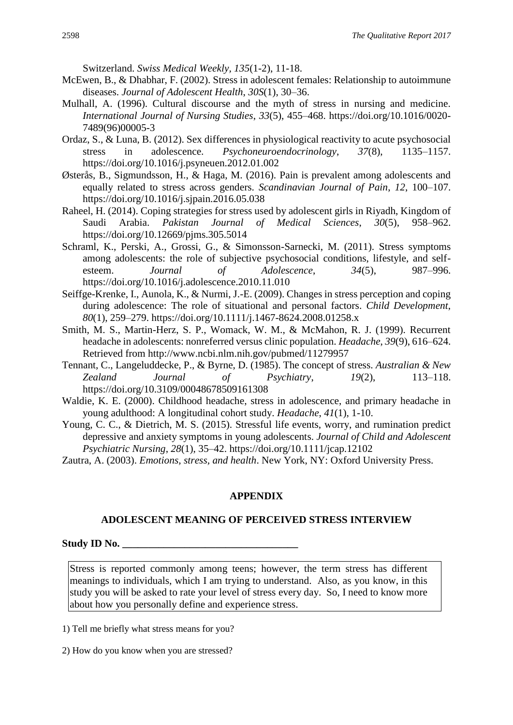Switzerland. *Swiss Medical Weekly, 135*(1-2), 11-18.

- McEwen, B., & Dhabhar, F. (2002). Stress in adolescent females: Relationship to autoimmune diseases. *Journal of Adolescent Health*, *30S*(1), 30–36.
- Mulhall, A. (1996). Cultural discourse and the myth of stress in nursing and medicine. *International Journal of Nursing Studies*, *33*(5), 455–468. https://doi.org/10.1016/0020- 7489(96)00005-3
- Ordaz, S., & Luna, B. (2012). Sex differences in physiological reactivity to acute psychosocial stress in adolescence. *Psychoneuroendocrinology*, *37*(8), 1135–1157. https://doi.org/10.1016/j.psyneuen.2012.01.002
- Østerås, B., Sigmundsson, H., & Haga, M. (2016). Pain is prevalent among adolescents and equally related to stress across genders. *Scandinavian Journal of Pain*, *12*, 100–107. https://doi.org/10.1016/j.sjpain.2016.05.038
- Raheel, H. (2014). Coping strategies for stress used by adolescent girls in Riyadh, Kingdom of Saudi Arabia. *Pakistan Journal of Medical Sciences*, *30*(5), 958–962. https://doi.org/10.12669/pjms.305.5014
- Schraml, K., Perski, A., Grossi, G., & Simonsson-Sarnecki, M. (2011). Stress symptoms among adolescents: the role of subjective psychosocial conditions, lifestyle, and selfesteem. *Journal of Adolescence*, *34*(5), 987–996. https://doi.org/10.1016/j.adolescence.2010.11.010
- Seiffge-Krenke, I., Aunola, K., & Nurmi, J.-E. (2009). Changes in stress perception and coping during adolescence: The role of situational and personal factors. *Child Development*, *80*(1), 259–279. https://doi.org/10.1111/j.1467-8624.2008.01258.x
- Smith, M. S., Martin-Herz, S. P., Womack, W. M., & McMahon, R. J. (1999). Recurrent headache in adolescents: nonreferred versus clinic population. *Headache*, *39*(9), 616–624. Retrieved from http://www.ncbi.nlm.nih.gov/pubmed/11279957
- Tennant, C., Langeluddecke, P., & Byrne, D. (1985). The concept of stress. *Australian & New Zealand Journal of Psychiatry*, *19*(2), 113–118. https://doi.org/10.3109/00048678509161308
- Waldie, K. E. (2000). Childhood headache, stress in adolescence, and primary headache in young adulthood: A longitudinal cohort study. *Headache*, *41*(1), 1-10.
- Young, C. C., & Dietrich, M. S. (2015). Stressful life events, worry, and rumination predict depressive and anxiety symptoms in young adolescents. *Journal of Child and Adolescent Psychiatric Nursing*, *28*(1), 35–42. https://doi.org/10.1111/jcap.12102

#### **APPENDIX**

#### **ADOLESCENT MEANING OF PERCEIVED STRESS INTERVIEW**

#### Study ID No.

Stress is reported commonly among teens; however, the term stress has different meanings to individuals, which I am trying to understand. Also, as you know, in this study you will be asked to rate your level of stress every day. So, I need to know more about how you personally define and experience stress.

1) Tell me briefly what stress means for you?

2) How do you know when you are stressed?

Zautra, A. (2003). *Emotions, stress, and health*. New York, NY: Oxford University Press.